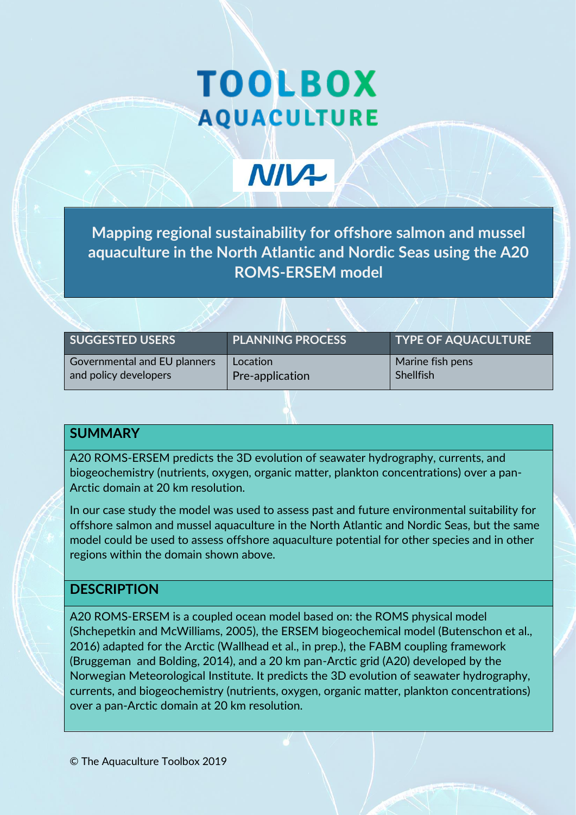# **TOOLBOX AQUACULTURE**

**NIV+** 

**Mapping regional sustainability for offshore salmon and mussel aquaculture in the North Atlantic and Nordic Seas using the A20 ROMS-ERSEM model** 

| <b>SUGGESTED USERS</b>                                | <b>PLANNING PROCESS</b>     | <b>TYPE OF AQUACULTURE</b>           |  |  |
|-------------------------------------------------------|-----------------------------|--------------------------------------|--|--|
| Governmental and EU planners<br>and policy developers | Location<br>Pre-application | Marine fish pens<br><b>Shellfish</b> |  |  |
|                                                       |                             |                                      |  |  |

# **SUMMARY**

A20 ROMS-ERSEM predicts the 3D evolution of seawater hydrography, currents, and biogeochemistry (nutrients, oxygen, organic matter, plankton concentrations) over a pan-Arctic domain at 20 km resolution.

In our case study the model was used to assess past and future environmental suitability for offshore salmon and mussel aquaculture in the North Atlantic and Nordic Seas, but the same model could be used to assess offshore aquaculture potential for other species and in other regions within the domain shown above.

# **DESCRIPTION**

A20 ROMS-ERSEM is a coupled ocean model based on: the ROMS physical model (Shchepetkin and McWilliams, 2005), the ERSEM biogeochemical model (Butenschon et al., 2016) adapted for the Arctic (Wallhead et al., in prep.), the FABM coupling framework (Bruggeman and Bolding, 2014), and a 20 km pan-Arctic grid (A20) developed by the Norwegian Meteorological Institute. It predicts the 3D evolution of seawater hydrography, currents, and biogeochemistry (nutrients, oxygen, organic matter, plankton concentrations) over a pan-Arctic domain at 20 km resolution.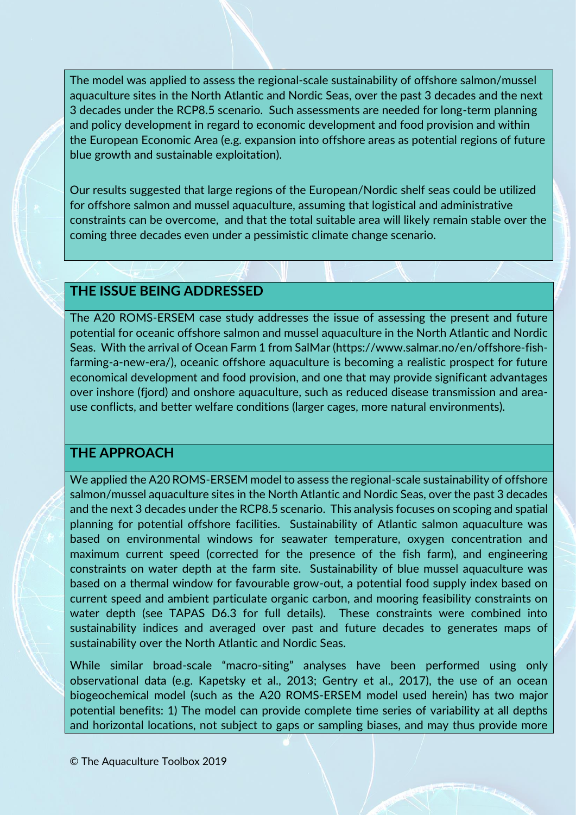The model was applied to assess the regional-scale sustainability of offshore salmon/mussel aquaculture sites in the North Atlantic and Nordic Seas, over the past 3 decades and the next 3 decades under the RCP8.5 scenario. Such assessments are needed for long-term planning and policy development in regard to economic development and food provision and within the European Economic Area (e.g. expansion into offshore areas as potential regions of future blue growth and sustainable exploitation).

Our results suggested that large regions of the European/Nordic shelf seas could be utilized for offshore salmon and mussel aquaculture, assuming that logistical and administrative constraints can be overcome, and that the total suitable area will likely remain stable over the coming three decades even under a pessimistic climate change scenario.

#### **THE ISSUE BEING ADDRESSED**

The A20 ROMS-ERSEM case study addresses the issue of assessing the present and future potential for oceanic offshore salmon and mussel aquaculture in the North Atlantic and Nordic Seas. With the arrival of Ocean Farm 1 from SalMar (https://www.salmar.no/en/offshore-fishfarming-a-new-era/), oceanic offshore aquaculture is becoming a realistic prospect for future economical development and food provision, and one that may provide significant advantages over inshore (fjord) and onshore aquaculture, such as reduced disease transmission and areause conflicts, and better welfare conditions (larger cages, more natural environments).

# **THE APPROACH**

We applied the A20 ROMS-ERSEM model to assess the regional-scale sustainability of offshore salmon/mussel aquaculture sites in the North Atlantic and Nordic Seas, over the past 3 decades and the next 3 decades under the RCP8.5 scenario. This analysis focuses on scoping and spatial planning for potential offshore facilities. Sustainability of Atlantic salmon aquaculture was based on environmental windows for seawater temperature, oxygen concentration and maximum current speed (corrected for the presence of the fish farm), and engineering constraints on water depth at the farm site. Sustainability of blue mussel aquaculture was based on a thermal window for favourable grow-out, a potential food supply index based on current speed and ambient particulate organic carbon, and mooring feasibility constraints on water depth (see TAPAS D6.3 for full details). These constraints were combined into sustainability indices and averaged over past and future decades to generates maps of sustainability over the North Atlantic and Nordic Seas.

While similar broad-scale "macro-siting" analyses have been performed using only observational data (e.g. Kapetsky et al., 2013; Gentry et al., 2017), the use of an ocean biogeochemical model (such as the A20 ROMS-ERSEM model used herein) has two major potential benefits: 1) The model can provide complete time series of variability at all depths and horizontal locations, not subject to gaps or sampling biases, and may thus provide more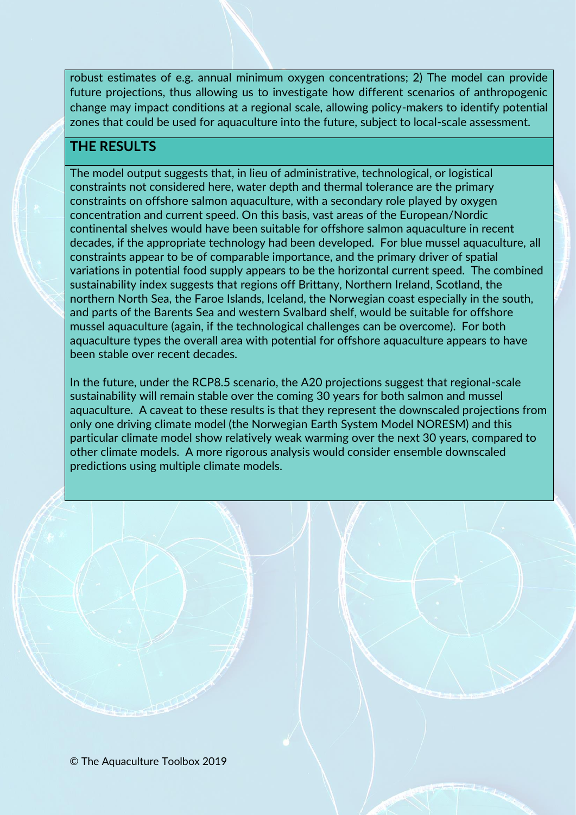robust estimates of e.g. annual minimum oxygen concentrations; 2) The model can provide future projections, thus allowing us to investigate how different scenarios of anthropogenic change may impact conditions at a regional scale, allowing policy-makers to identify potential zones that could be used for aquaculture into the future, subject to local-scale assessment.

# **THE RESULTS**

The model output suggests that, in lieu of administrative, technological, or logistical constraints not considered here, water depth and thermal tolerance are the primary constraints on offshore salmon aquaculture, with a secondary role played by oxygen concentration and current speed. On this basis, vast areas of the European/Nordic continental shelves would have been suitable for offshore salmon aquaculture in recent decades, if the appropriate technology had been developed. For blue mussel aquaculture, all constraints appear to be of comparable importance, and the primary driver of spatial variations in potential food supply appears to be the horizontal current speed. The combined sustainability index suggests that regions off Brittany, Northern Ireland, Scotland, the northern North Sea, the Faroe Islands, Iceland, the Norwegian coast especially in the south, and parts of the Barents Sea and western Svalbard shelf, would be suitable for offshore mussel aquaculture (again, if the technological challenges can be overcome). For both aquaculture types the overall area with potential for offshore aquaculture appears to have been stable over recent decades.

In the future, under the RCP8.5 scenario, the A20 projections suggest that regional-scale sustainability will remain stable over the coming 30 years for both salmon and mussel aquaculture. A caveat to these results is that they represent the downscaled projections from only one driving climate model (the Norwegian Earth System Model NORESM) and this particular climate model show relatively weak warming over the next 30 years, compared to other climate models. A more rigorous analysis would consider ensemble downscaled predictions using multiple climate models.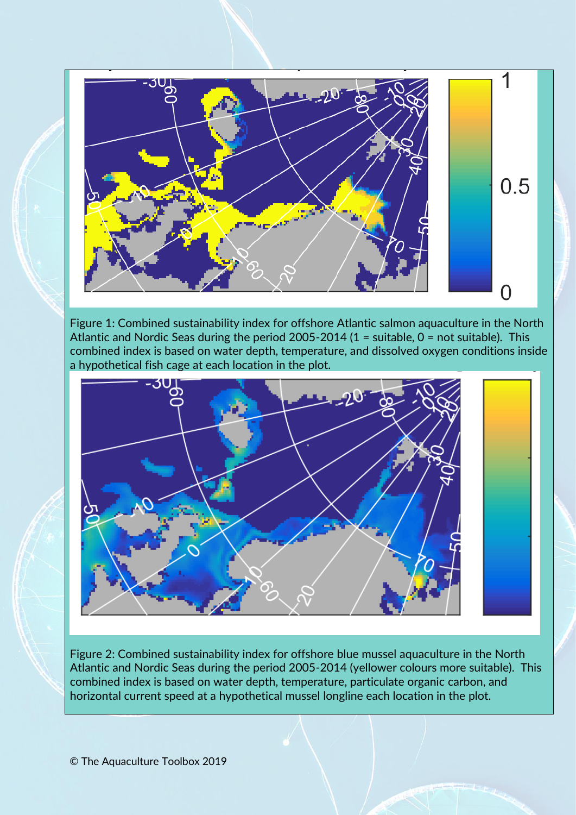

Figure 1: Combined sustainability index for offshore Atlantic salmon aquaculture in the North Atlantic and Nordic Seas during the period 2005-2014 (1 = suitable, 0 = not suitable). This combined index is based on water depth, temperature, and dissolved oxygen conditions inside a hypothetical fish cage at each location in the plot.



Figure 2: Combined sustainability index for offshore blue mussel aquaculture in the North Atlantic and Nordic Seas during the period 2005-2014 (yellower colours more suitable). This combined index is based on water depth, temperature, particulate organic carbon, and horizontal current speed at a hypothetical mussel longline each location in the plot.